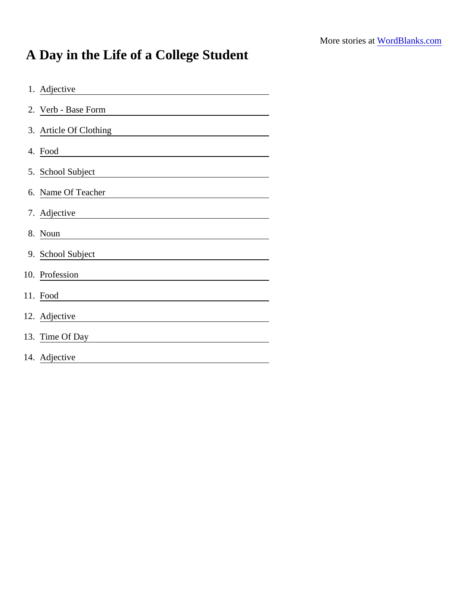## A Day in the Life of a College Student

| 1. Adjective           |
|------------------------|
| 2. Verb - Base Form    |
| 3. Article Of Clothing |
| 4. Food                |
| 5. School Subject      |
| 6. Name Of Teacher     |
| 7. Adjective           |
| 8. Noun                |
| 9. School Subject      |
| 10. Profession         |
| 11. Food               |
| 12. Adjective          |
| 13. Time Of Day        |
| 14. Adjective          |